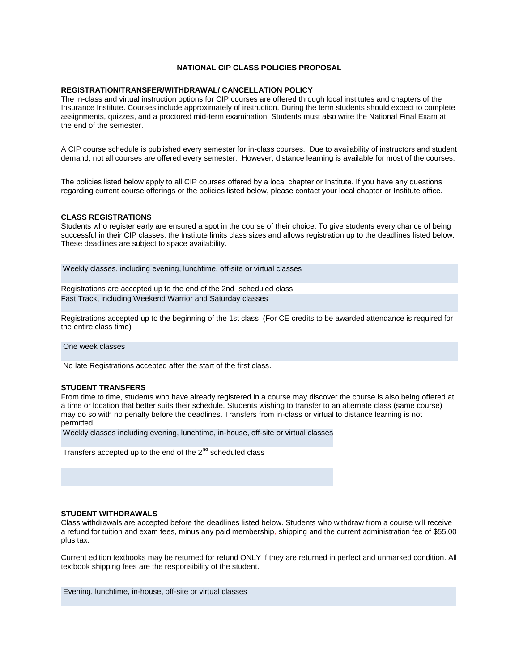# **NATIONAL CIP CLASS POLICIES PROPOSAL**

# **REGISTRATION/TRANSFER/WITHDRAWAL/ CANCELLATION POLICY**

The in-class and virtual instruction options for CIP courses are offered through local institutes and chapters of the Insurance Institute. Courses include approximately of instruction. During the term students should expect to complete assignments, quizzes, and a proctored mid-term examination. Students must also write the National Final Exam at the end of the semester.

A CIP course schedule is published every semester for in-class courses. Due to availability of instructors and student demand, not all courses are offered every semester. However, distance learning is available for most of the courses.

The policies listed below apply to all CIP courses offered by a local chapter or Institute. If you have any questions regarding current course offerings or the policies listed below, please contact your local chapter or Institute office.

#### **CLASS REGISTRATIONS**

Students who register early are ensured a spot in the course of their choice. To give students every chance of being successful in their CIP classes, the Institute limits class sizes and allows registration up to the deadlines listed below. These deadlines are subject to space availability.

Weekly classes, including evening, lunchtime, off-site or virtual classes

Registrations are accepted up to the end of the 2nd scheduled class Fast Track, including Weekend Warrior and Saturday classes

Registrations accepted up to the beginning of the 1st class (For CE credits to be awarded attendance is required for the entire class time)

One week classes

No late Registrations accepted after the start of the first class.

### **STUDENT TRANSFERS**

From time to time, students who have already registered in a course may discover the course is also being offered at a time or location that better suits their schedule. Students wishing to transfer to an alternate class (same course) may do so with no penalty before the deadlines. Transfers from in-class or virtual to distance learning is not permitted.

Weekly classes including evening, lunchtime, in-house, off-site or virtual classes

Transfers accepted up to the end of the  $2^{nd}$  scheduled class

# **STUDENT WITHDRAWALS**

Class withdrawals are accepted before the deadlines listed below. Students who withdraw from a course will receive a refund for tuition and exam fees, minus any paid membership, shipping and the current administration fee of \$55.00 plus tax.

Current edition textbooks may be returned for refund ONLY if they are returned in perfect and unmarked condition. All textbook shipping fees are the responsibility of the student.

Evening, lunchtime, in-house, off-site or virtual classes